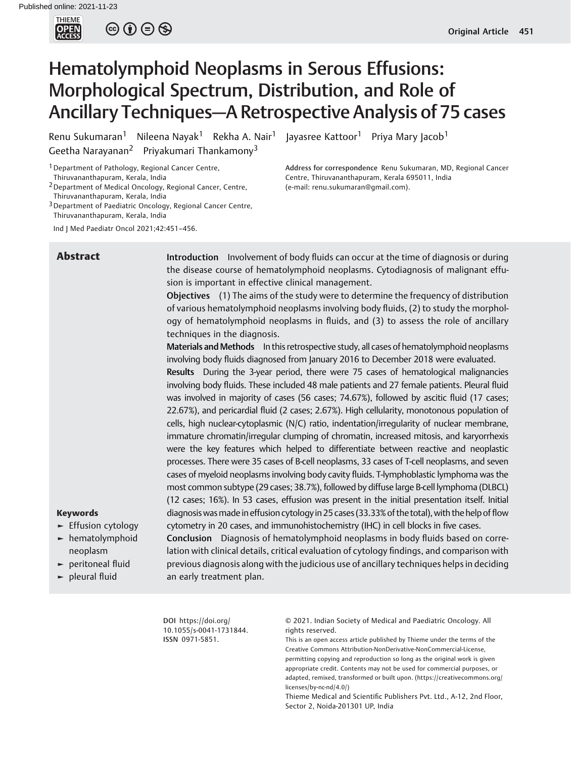

 $\circledcirc \circledcirc \circledcirc$ 

# Hematolymphoid Neoplasms in Serous Effusions: Morphological Spectrum, Distribution, and Role of Ancillary Techniques—A Retrospective Analysis of 75 cases

Renu Sukumaran<sup>1</sup> Nileena Nayak<sup>1</sup> Rekha A. Nair<sup>1</sup> Jayasree Kattoor<sup>1</sup> Priya Mary Jacob<sup>1</sup> Geetha Narayanan<sup>2</sup> Priyakumari Thankamony<sup>3</sup>

<sup>1</sup> Department of Pathology, Regional Cancer Centre, Thiruvananthapuram, Kerala, India

2Department of Medical Oncology, Regional Cancer, Centre, Thiruvananthapuram, Kerala, India

<sup>3</sup> Department of Paediatric Oncology, Regional Cancer Centre, Thiruvananthapuram, Kerala, India

Ind J Med Paediatr Oncol 2021;42:451–456.

**Abstract** Introduction Involvement of body fluids can occur at the time of diagnosis or during the disease course of hematolymphoid neoplasms. Cytodiagnosis of malignant effusion is important in effective clinical management.

Address for correspondence Renu Sukumaran, MD, Regional Cancer

Centre, Thiruvananthapuram, Kerala 695011, India

(e-mail: [renu.sukumaran@gmail.com\)](mailto:renu.sukumaran@gmail.com).

Objectives (1) The aims of the study were to determine the frequency of distribution of various hematolymphoid neoplasms involving body fluids, (2) to study the morphology of hematolymphoid neoplasms in fluids, and (3) to assess the role of ancillary techniques in the diagnosis.

Materials and Methods In this retrospective study, all cases of hematolymphoid neoplasms involving body fluids diagnosed from January 2016 to December 2018 were evaluated.

Results During the 3-year period, there were 75 cases of hematological malignancies involving body fluids. These included 48 male patients and 27 female patients. Pleural fluid was involved in majority of cases (56 cases; 74.67%), followed by ascitic fluid (17 cases; 22.67%), and pericardial fluid (2 cases; 2.67%). High cellularity, monotonous population of cells, high nuclear-cytoplasmic (N/C) ratio, indentation/irregularity of nuclear membrane, immature chromatin/irregular clumping of chromatin, increased mitosis, and karyorrhexis were the key features which helped to differentiate between reactive and neoplastic processes. There were 35 cases of B-cell neoplasms, 33 cases of T-cell neoplasms, and seven cases of myeloid neoplasms involving body cavity fluids. T-lymphoblastic lymphoma was the most common subtype (29 cases; 38.7%), followed by diffuse large B-cell lymphoma (DLBCL) (12 cases; 16%). In 53 cases, effusion was present in the initial presentation itself. Initial diagnosis wasmade in effusion cytology in 25 cases (33.33% of the total), with the help of flow cytometry in 20 cases, and immunohistochemistry (IHC) in cell blocks in five cases. Conclusion Diagnosis of hematolymphoid neoplasms in body fluids based on corre-

lation with clinical details, critical evaluation of cytology findings, and comparison with previous diagnosis along with the judicious use of ancillary techniques helps in deciding

# Keywords

- ► Effusion cytology
- ► hematolymphoid neoplasm
- ► peritoneal fluid
- ► pleural fluid

an early treatment plan.

DOI [https://doi.org/](https://doi.org/10.1055/s-0041-1731844) [10.1055/s-0041-1731844](https://doi.org/10.1055/s-0041-1731844). ISSN 0971-5851.

© 2021. Indian Society of Medical and Paediatric Oncology. All rights reserved.

This is an open access article published by Thieme under the terms of the Creative Commons Attribution-NonDerivative-NonCommercial-License, permitting copying and reproduction so long as the original work is given appropriate credit. Contents may not be used for commercial purposes, or adapted, remixed, transformed or built upon. (https://creativecommons.org/ licenses/by-nc-nd/4.0/)

Thieme Medical and Scientific Publishers Pvt. Ltd., A-12, 2nd Floor, Sector 2, Noida-201301 UP, India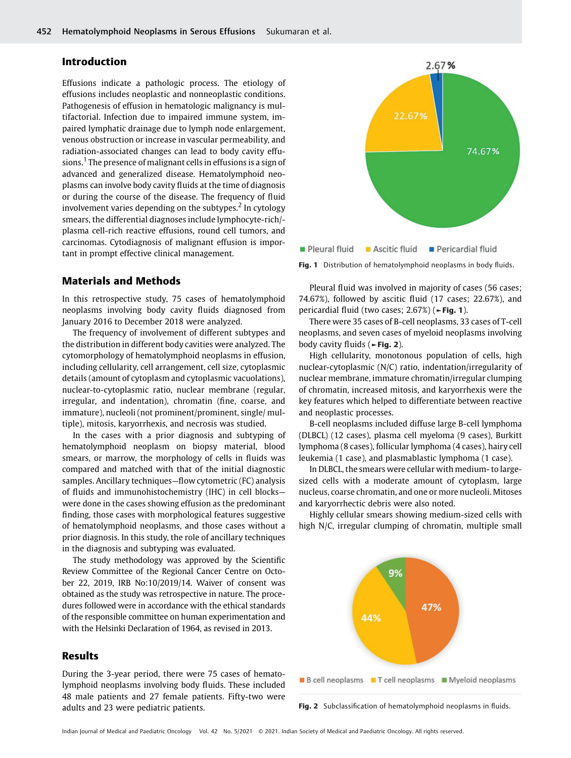# Introduction

Effusions indicate a pathologic process. The etiology of effusions includes neoplastic and nonneoplastic conditions. Pathogenesis of effusion in hematologic malignancy is multifactorial. Infection due to impaired immune system, impaired lymphatic drainage due to lymph node enlargement, venous obstruction or increase in vascular permeability, and radiation-associated changes can lead to body cavity effusions.<sup>1</sup> The presence of malignant cells in effusions is a sign of advanced and generalized disease. Hematolymphoid neoplasms can involve body cavity fluids at the time of diagnosis or during the course of the disease. The frequency of fluid involvement varies depending on the subtypes. $<sup>2</sup>$  In cytology</sup> smears, the differential diagnoses include lymphocyte-rich/ plasma cell-rich reactive effusions, round cell tumors, and carcinomas. Cytodiagnosis of malignant effusion is important in prompt effective clinical management.

# Materials and Methods

In this retrospective study, 75 cases of hematolymphoid neoplasms involving body cavity fluids diagnosed from January 2016 to December 2018 were analyzed.

The frequency of involvement of different subtypes and the distribution in different body cavities were analyzed. The cytomorphology of hematolymphoid neoplasms in effusion, including cellularity, cell arrangement, cell size, cytoplasmic details (amount of cytoplasm and cytoplasmic vacuolations), nuclear-to-cytoplasmic ratio, nuclear membrane (regular, irregular, and indentation), chromatin (fine, coarse, and immature), nucleoli (not prominent/prominent, single/ multiple), mitosis, karyorrhexis, and necrosis was studied.

In the cases with a prior diagnosis and subtyping of hematolymphoid neoplasm on biopsy material, blood smears, or marrow, the morphology of cells in fluids was compared and matched with that of the initial diagnostic samples. Ancillary techniques—flow cytometric (FC) analysis of fluids and immunohistochemistry (IHC) in cell blocks were done in the cases showing effusion as the predominant finding, those cases with morphological features suggestive of hematolymphoid neoplasms, and those cases without a prior diagnosis. In this study, the role of ancillary techniques in the diagnosis and subtyping was evaluated.

The study methodology was approved by the Scientific Review Committee of the Regional Cancer Centre on October 22, 2019, IRB No:10/2019/14. Waiver of consent was obtained as the study was retrospective in nature. The procedures followed were in accordance with the ethical standards of the responsible committee on human experimentation and with the Helsinki Declaration of 1964, as revised in 2013.

## Results

During the 3-year period, there were 75 cases of hematolymphoid neoplasms involving body fluids. These included 48 male patients and 27 female patients. Fifty-two were adults and 23 were pediatric patients.



Fig. 1 Distribution of hematolymphoid neoplasms in body fluids.

Pleural fluid was involved in majority of cases (56 cases; 74.67%), followed by ascitic fluid (17 cases; 22.67%), and pericardial fluid (two cases; 2.67%) (►Fig. 1).

There were 35 cases of B-cell neoplasms, 33 cases of T-cell neoplasms, and seven cases of myeloid neoplasms involving body cavity fluids (►Fig. 2).

High cellularity, monotonous population of cells, high nuclear-cytoplasmic (N/C) ratio, indentation/irregularity of nuclear membrane, immature chromatin/irregular clumping of chromatin, increased mitosis, and karyorrhexis were the key features which helped to differentiate between reactive and neoplastic processes.

B-cell neoplasms included diffuse large B-cell lymphoma (DLBCL) (12 cases), plasma cell myeloma (9 cases), Burkitt lymphoma (8 cases), follicular lymphoma (4 cases), hairy cell leukemia (1 case), and plasmablastic lymphoma (1 case).

In DLBCL, the smears were cellular with medium- to largesized cells with a moderate amount of cytoplasm, large nucleus, coarse chromatin, and one or more nucleoli. Mitoses and karyorrhectic debris were also noted.

Highly cellular smears showing medium-sized cells with high N/C, irregular clumping of chromatin, multiple small



Fig. 2 Subclassification of hematolymphoid neoplasms in fluids.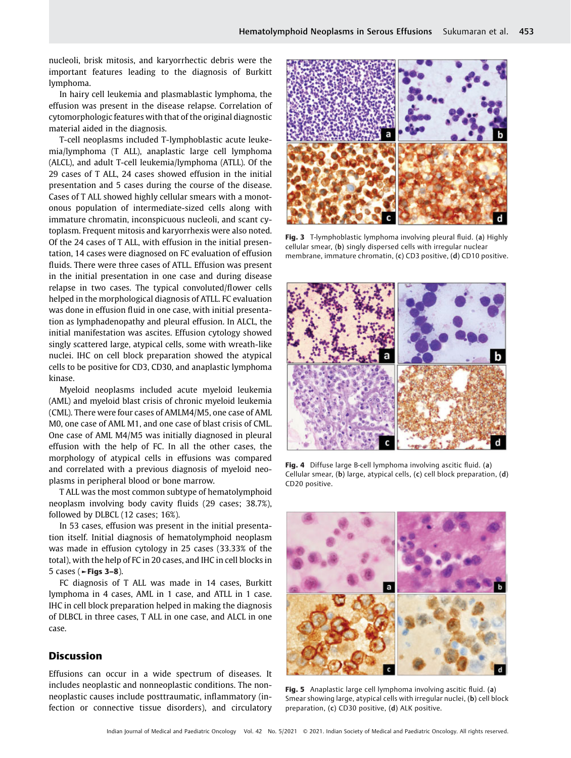nucleoli, brisk mitosis, and karyorrhectic debris were the important features leading to the diagnosis of Burkitt lymphoma.

In hairy cell leukemia and plasmablastic lymphoma, the effusion was present in the disease relapse. Correlation of cytomorphologic features with that of the original diagnostic material aided in the diagnosis.

T-cell neoplasms included T-lymphoblastic acute leukemia/lymphoma (T ALL), anaplastic large cell lymphoma (ALCL), and adult T-cell leukemia/lymphoma (ATLL). Of the 29 cases of T ALL, 24 cases showed effusion in the initial presentation and 5 cases during the course of the disease. Cases of T ALL showed highly cellular smears with a monotonous population of intermediate-sized cells along with immature chromatin, inconspicuous nucleoli, and scant cytoplasm. Frequent mitosis and karyorrhexis were also noted. Of the 24 cases of T ALL, with effusion in the initial presentation, 14 cases were diagnosed on FC evaluation of effusion fluids. There were three cases of ATLL. Effusion was present in the initial presentation in one case and during disease relapse in two cases. The typical convoluted/flower cells helped in the morphological diagnosis of ATLL. FC evaluation was done in effusion fluid in one case, with initial presentation as lymphadenopathy and pleural effusion. In ALCL, the initial manifestation was ascites. Effusion cytology showed singly scattered large, atypical cells, some with wreath-like nuclei. IHC on cell block preparation showed the atypical cells to be positive for CD3, CD30, and anaplastic lymphoma kinase.

Myeloid neoplasms included acute myeloid leukemia (AML) and myeloid blast crisis of chronic myeloid leukemia (CML). There were four cases of AMLM4/M5, one case of AML M0, one case of AML M1, and one case of blast crisis of CML. One case of AML M4/M5 was initially diagnosed in pleural effusion with the help of FC. In all the other cases, the morphology of atypical cells in effusions was compared and correlated with a previous diagnosis of myeloid neoplasms in peripheral blood or bone marrow.

T ALL was the most common subtype of hematolymphoid neoplasm involving body cavity fluids (29 cases; 38.7%), followed by DLBCL (12 cases; 16%).

In 53 cases, effusion was present in the initial presentation itself. Initial diagnosis of hematolymphoid neoplasm was made in effusion cytology in 25 cases (33.33% of the total), with the help of FC in 20 cases, and IHC in cell blocks in 5 cases (►Figs 3–8).

FC diagnosis of T ALL was made in 14 cases, Burkitt lymphoma in 4 cases, AML in 1 case, and ATLL in 1 case. IHC in cell block preparation helped in making the diagnosis of DLBCL in three cases, T ALL in one case, and ALCL in one case.

# Discussion

Effusions can occur in a wide spectrum of diseases. It includes neoplastic and nonneoplastic conditions. The nonneoplastic causes include posttraumatic, inflammatory (infection or connective tissue disorders), and circulatory



Fig. 3 T-lymphoblastic lymphoma involving pleural fluid. (a) Highly cellular smear, (b) singly dispersed cells with irregular nuclear membrane, immature chromatin, (c) CD3 positive, (d) CD10 positive.



Fig. 4 Diffuse large B-cell lymphoma involving ascitic fluid. (a) Cellular smear, (b) large, atypical cells, (c) cell block preparation, (d) CD20 positive.



Fig. 5 Anaplastic large cell lymphoma involving ascitic fluid. (a) Smear showing large, atypical cells with irregular nuclei, (b) cell block preparation, (c) CD30 positive, (d) ALK positive.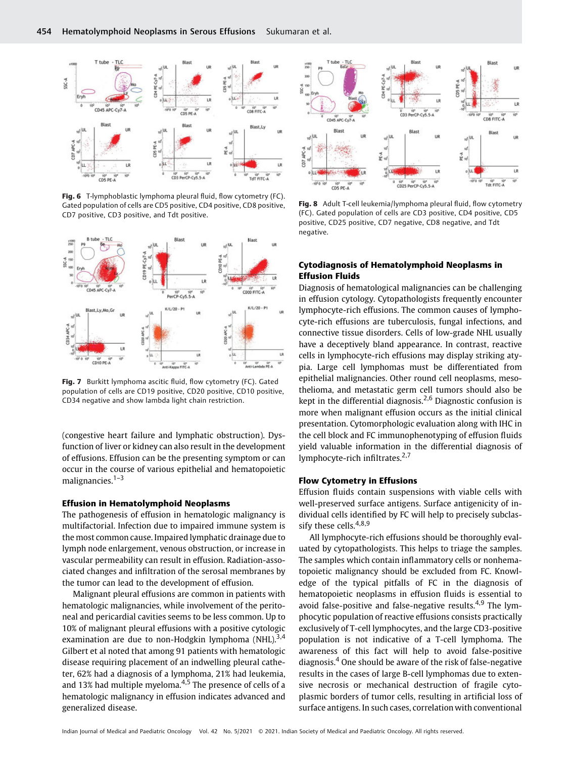

Fig. 6 T-lymphoblastic lymphoma pleural fluid, flow cytometry (FC). Gated population of cells are CD5 positive, CD4 positive, CD8 positive, CD7 positive, CD3 positive, and Tdt positive.



Fig. 7 Burkitt lymphoma ascitic fluid, flow cytometry (FC). Gated population of cells are CD19 positive, CD20 positive, CD10 positive, CD34 negative and show lambda light chain restriction.

(congestive heart failure and lymphatic obstruction). Dysfunction of liver or kidney can also result in the development of effusions. Effusion can be the presenting symptom or can occur in the course of various epithelial and hematopoietic malignancies.<sup>1-3</sup>

### Effusion in Hematolymphoid Neoplasms

The pathogenesis of effusion in hematologic malignancy is multifactorial. Infection due to impaired immune system is the most common cause. Impaired lymphatic drainage due to lymph node enlargement, venous obstruction, or increase in vascular permeability can result in effusion. Radiation-associated changes and infiltration of the serosal membranes by the tumor can lead to the development of effusion.

Malignant pleural effusions are common in patients with hematologic malignancies, while involvement of the peritoneal and pericardial cavities seems to be less common. Up to 10% of malignant pleural effusions with a positive cytologic examination are due to non-Hodgkin lymphoma  $(NHL)$ ,  $3,4$ Gilbert et al noted that among 91 patients with hematologic disease requiring placement of an indwelling pleural catheter, 62% had a diagnosis of a lymphoma, 21% had leukemia, and 13% had multiple myeloma. $4,5$  The presence of cells of a hematologic malignancy in effusion indicates advanced and generalized disease.



Fig. 8 Adult T-cell leukemia/lymphoma pleural fluid, flow cytometry (FC). Gated population of cells are CD3 positive, CD4 positive, CD5 positive, CD25 positive, CD7 negative, CD8 negative, and Tdt negative.

# Cytodiagnosis of Hematolymphoid Neoplasms in Effusion Fluids

Diagnosis of hematological malignancies can be challenging in effusion cytology. Cytopathologists frequently encounter lymphocyte-rich effusions. The common causes of lymphocyte-rich effusions are tuberculosis, fungal infections, and connective tissue disorders. Cells of low-grade NHL usually have a deceptively bland appearance. In contrast, reactive cells in lymphocyte-rich effusions may display striking atypia. Large cell lymphomas must be differentiated from epithelial malignancies. Other round cell neoplasms, mesothelioma, and metastatic germ cell tumors should also be kept in the differential diagnosis.<sup>2,6</sup> Diagnostic confusion is more when malignant effusion occurs as the initial clinical presentation. Cytomorphologic evaluation along with IHC in the cell block and FC immunophenotyping of effusion fluids yield valuable information in the differential diagnosis of lymphocyte-rich infiltrates. $2,7$ 

## Flow Cytometry in Effusions

Effusion fluids contain suspensions with viable cells with well-preserved surface antigens. Surface antigenicity of individual cells identified by FC will help to precisely subclassify these cells. $4,8,9$ 

All lymphocyte-rich effusions should be thoroughly evaluated by cytopathologists. This helps to triage the samples. The samples which contain inflammatory cells or nonhematopoietic malignancy should be excluded from FC. Knowledge of the typical pitfalls of FC in the diagnosis of hematopoietic neoplasms in effusion fluids is essential to avoid false-positive and false-negative results. $4.9$  The lymphocytic population of reactive effusions consists practically exclusively of T-cell lymphocytes, and the large CD3-positive population is not indicative of a T-cell lymphoma. The awareness of this fact will help to avoid false-positive diagnosis.<sup>4</sup> One should be aware of the risk of false-negative results in the cases of large B-cell lymphomas due to extensive necrosis or mechanical destruction of fragile cytoplasmic borders of tumor cells, resulting in artificial loss of surface antigens. In such cases, correlation with conventional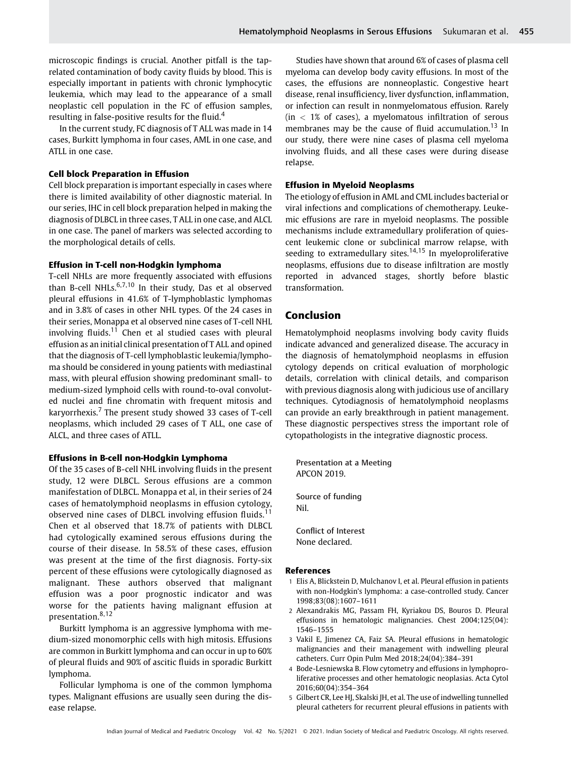microscopic findings is crucial. Another pitfall is the taprelated contamination of body cavity fluids by blood. This is especially important in patients with chronic lymphocytic leukemia, which may lead to the appearance of a small neoplastic cell population in the FC of effusion samples, resulting in false-positive results for the fluid.<sup>4</sup>

In the current study, FC diagnosis of T ALL was made in 14 cases, Burkitt lymphoma in four cases, AML in one case, and ATLL in one case.

#### Cell block Preparation in Effusion

Cell block preparation is important especially in cases where there is limited availability of other diagnostic material. In our series, IHC in cell block preparation helped in making the diagnosis of DLBCL in three cases, T ALL in one case, and ALCL in one case. The panel of markers was selected according to the morphological details of cells.

#### Effusion in T-cell non-Hodgkin lymphoma

T-cell NHLs are more frequently associated with effusions than B-cell NHLs.<sup>6,7,10</sup> In their study, Das et al observed pleural effusions in 41.6% of T-lymphoblastic lymphomas and in 3.8% of cases in other NHL types. Of the 24 cases in their series, Monappa et al observed nine cases of T-cell NHL involving fluids.<sup>11</sup> Chen et al studied cases with pleural effusion as an initial clinical presentation of T ALL and opined that the diagnosis of T-cell lymphoblastic leukemia/lymphoma should be considered in young patients with mediastinal mass, with pleural effusion showing predominant small- to medium-sized lymphoid cells with round-to-oval convoluted nuclei and fine chromatin with frequent mitosis and karyorrhexis.<sup>7</sup> The present study showed 33 cases of T-cell neoplasms, which included 29 cases of T ALL, one case of ALCL, and three cases of ATLL.

# Effusions in B-cell non-Hodgkin Lymphoma

Of the 35 cases of B-cell NHL involving fluids in the present study, 12 were DLBCL. Serous effusions are a common manifestation of DLBCL. Monappa et al, in their series of 24 cases of hematolymphoid neoplasms in effusion cytology, observed nine cases of DLBCL involving effusion fluids.<sup>11</sup> Chen et al observed that 18.7% of patients with DLBCL had cytologically examined serous effusions during the course of their disease. In 58.5% of these cases, effusion was present at the time of the first diagnosis. Forty-six percent of these effusions were cytologically diagnosed as malignant. These authors observed that malignant effusion was a poor prognostic indicator and was worse for the patients having malignant effusion at presentation.8,12

Burkitt lymphoma is an aggressive lymphoma with medium-sized monomorphic cells with high mitosis. Effusions are common in Burkitt lymphoma and can occur in up to 60% of pleural fluids and 90% of ascitic fluids in sporadic Burkitt lymphoma.

Follicular lymphoma is one of the common lymphoma types. Malignant effusions are usually seen during the disease relapse.

Studies have shown that around 6% of cases of plasma cell myeloma can develop body cavity effusions. In most of the cases, the effusions are nonneoplastic. Congestive heart disease, renal insufficiency, liver dysfunction, inflammation, or infection can result in nonmyelomatous effusion. Rarely  $(in < 1\%$  of cases), a myelomatous infiltration of serous membranes may be the cause of fluid accumulation.<sup>13</sup> In our study, there were nine cases of plasma cell myeloma involving fluids, and all these cases were during disease relapse.

### Effusion in Myeloid Neoplasms

The etiology of effusion in AML and CML includes bacterial or viral infections and complications of chemotherapy. Leukemic effusions are rare in myeloid neoplasms. The possible mechanisms include extramedullary proliferation of quiescent leukemic clone or subclinical marrow relapse, with seeding to extramedullary sites. $14,15$  In myeloproliferative neoplasms, effusions due to disease infiltration are mostly reported in advanced stages, shortly before blastic transformation.

# Conclusion

Hematolymphoid neoplasms involving body cavity fluids indicate advanced and generalized disease. The accuracy in the diagnosis of hematolymphoid neoplasms in effusion cytology depends on critical evaluation of morphologic details, correlation with clinical details, and comparison with previous diagnosis along with judicious use of ancillary techniques. Cytodiagnosis of hematolymphoid neoplasms can provide an early breakthrough in patient management. These diagnostic perspectives stress the important role of cytopathologists in the integrative diagnostic process.

Presentation at a Meeting APCON 2019. Source of funding Nil.

Conflict of Interest None declared.

#### References

- 1 Elis A, Blickstein D, Mulchanov I, et al. Pleural effusion in patients with non-Hodgkin's lymphoma: a case-controlled study. Cancer 1998;83(08):1607–1611
- 2 Alexandrakis MG, Passam FH, Kyriakou DS, Bouros D. Pleural effusions in hematologic malignancies. Chest 2004;125(04): 1546–1555
- 3 Vakil E, Jimenez CA, Faiz SA. Pleural effusions in hematologic malignancies and their management with indwelling pleural catheters. Curr Opin Pulm Med 2018;24(04):384–391
- 4 Bode-Lesniewska B. Flow cytometry and effusions in lymphoproliferative processes and other hematologic neoplasias. Acta Cytol 2016;60(04):354–364
- 5 Gilbert CR, Lee HJ, Skalski JH, et al. The use of indwelling tunnelled pleural catheters for recurrent pleural effusions in patients with